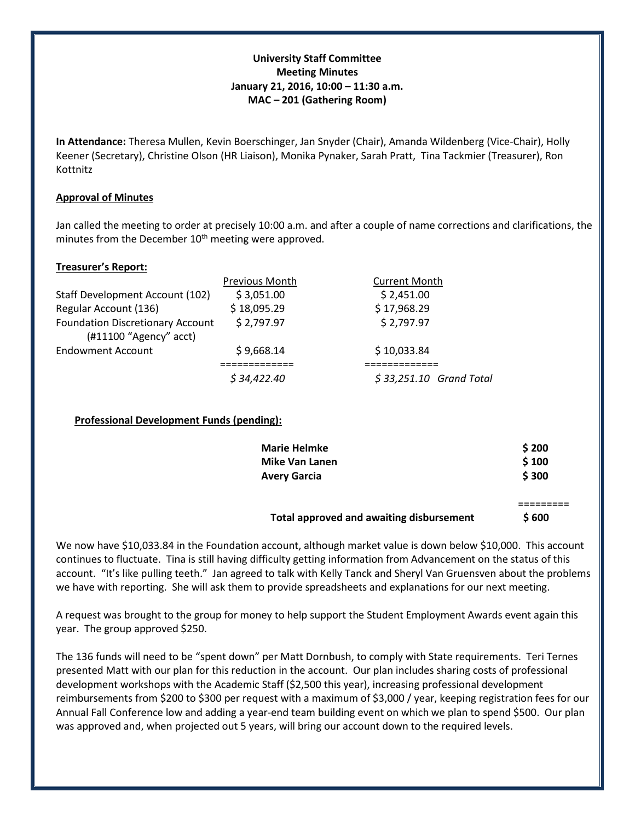# **University Staff Committee Meeting Minutes January 21, 2016, 10:00 – 11:30 a.m. MAC – 201 (Gathering Room)**

**In Attendance:** Theresa Mullen, Kevin Boerschinger, Jan Snyder (Chair), Amanda Wildenberg (Vice-Chair), Holly Keener (Secretary), Christine Olson (HR Liaison), Monika Pynaker, Sarah Pratt, Tina Tackmier (Treasurer), Ron Kottnitz

### **Approval of Minutes**

Jan called the meeting to order at precisely 10:00 a.m. and after a couple of name corrections and clarifications, the minutes from the December  $10<sup>th</sup>$  meeting were approved.

#### **Treasurer's Report:**

|                                                                     | Previous Month | <b>Current Month</b>     |
|---------------------------------------------------------------------|----------------|--------------------------|
| Staff Development Account (102)                                     | \$3,051.00     | \$2,451.00               |
| Regular Account (136)                                               | \$18,095.29    | \$17,968.29              |
| <b>Foundation Discretionary Account</b><br>$(H11100$ "Agency" acct) | \$2,797.97     | \$2,797.97               |
| <b>Endowment Account</b>                                            | \$9,668.14     | \$10,033.84              |
|                                                                     | \$34,422.40    | $$33,251.10$ Grand Total |

### **Professional Development Funds (pending):**

| Marie Helmke   | \$ 200 |
|----------------|--------|
| Mike Van Lanen | \$ 100 |
| Avery Garcia   | \$ 300 |

=========

**Total approved and awaiting disbursement \$ 600**

We now have \$10,033.84 in the Foundation account, although market value is down below \$10,000. This account continues to fluctuate. Tina is still having difficulty getting information from Advancement on the status of this account. "It's like pulling teeth." Jan agreed to talk with Kelly Tanck and Sheryl Van Gruensven about the problems we have with reporting. She will ask them to provide spreadsheets and explanations for our next meeting.

A request was brought to the group for money to help support the Student Employment Awards event again this year. The group approved \$250.

The 136 funds will need to be "spent down" per Matt Dornbush, to comply with State requirements. Teri Ternes presented Matt with our plan for this reduction in the account. Our plan includes sharing costs of professional development workshops with the Academic Staff (\$2,500 this year), increasing professional development reimbursements from \$200 to \$300 per request with a maximum of \$3,000 / year, keeping registration fees for our Annual Fall Conference low and adding a year-end team building event on which we plan to spend \$500. Our plan was approved and, when projected out 5 years, will bring our account down to the required levels.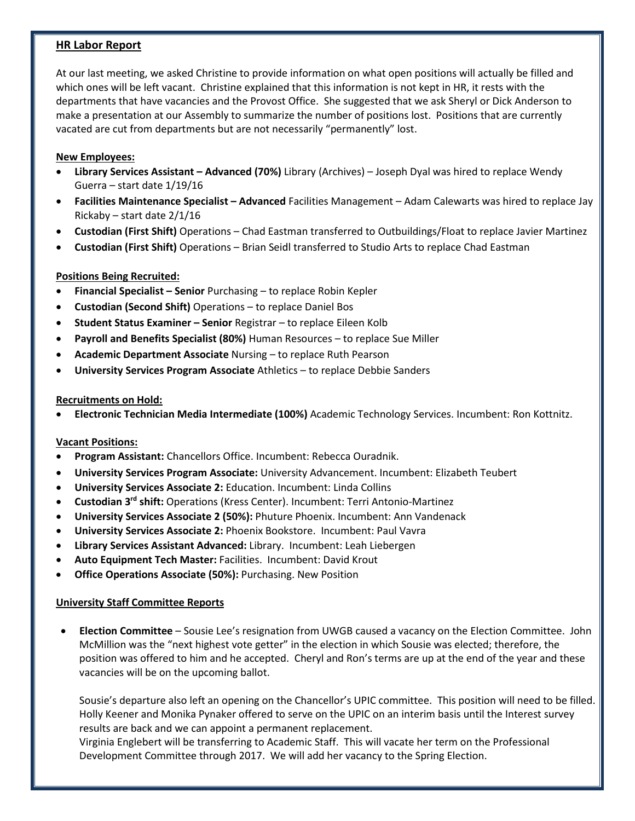# **HR Labor Report**

At our last meeting, we asked Christine to provide information on what open positions will actually be filled and which ones will be left vacant. Christine explained that this information is not kept in HR, it rests with the departments that have vacancies and the Provost Office. She suggested that we ask Sheryl or Dick Anderson to make a presentation at our Assembly to summarize the number of positions lost. Positions that are currently vacated are cut from departments but are not necessarily "permanently" lost.

# **New Employees:**

- **Library Services Assistant – Advanced (70%)** Library (Archives) Joseph Dyal was hired to replace Wendy Guerra – start date 1/19/16
- **Facilities Maintenance Specialist – Advanced** Facilities Management Adam Calewarts was hired to replace Jay Rickaby – start date 2/1/16
- **Custodian (First Shift)** Operations Chad Eastman transferred to Outbuildings/Float to replace Javier Martinez
- **Custodian (First Shift)** Operations Brian Seidl transferred to Studio Arts to replace Chad Eastman

# **Positions Being Recruited:**

- **Financial Specialist – Senior** Purchasing to replace Robin Kepler
- **Custodian (Second Shift)** Operations to replace Daniel Bos
- **Student Status Examiner – Senior** Registrar to replace Eileen Kolb
- **Payroll and Benefits Specialist (80%)** Human Resources to replace Sue Miller
- **Academic Department Associate** Nursing to replace Ruth Pearson
- **University Services Program Associate** Athletics to replace Debbie Sanders

### **Recruitments on Hold:**

• **Electronic Technician Media Intermediate (100%)** Academic Technology Services. Incumbent: Ron Kottnitz.

### **Vacant Positions:**

- **Program Assistant:** Chancellors Office. Incumbent: Rebecca Ouradnik.
- **University Services Program Associate:** University Advancement. Incumbent: Elizabeth Teubert
- **University Services Associate 2:** Education. Incumbent: Linda Collins
- **Custodian 3rd shift:** Operations (Kress Center). Incumbent: Terri Antonio-Martinez
- **University Services Associate 2 (50%):** Phuture Phoenix. Incumbent: Ann Vandenack
- **University Services Associate 2:** Phoenix Bookstore. Incumbent: Paul Vavra
- **Library Services Assistant Advanced:** Library. Incumbent: Leah Liebergen
- **Auto Equipment Tech Master:** Facilities. Incumbent: David Krout
- **Office Operations Associate (50%):** Purchasing. New Position

### **University Staff Committee Reports**

• **Election Committee** – Sousie Lee's resignation from UWGB caused a vacancy on the Election Committee. John McMillion was the "next highest vote getter" in the election in which Sousie was elected; therefore, the position was offered to him and he accepted. Cheryl and Ron's terms are up at the end of the year and these vacancies will be on the upcoming ballot.

Sousie's departure also left an opening on the Chancellor's UPIC committee. This position will need to be filled. Holly Keener and Monika Pynaker offered to serve on the UPIC on an interim basis until the Interest survey results are back and we can appoint a permanent replacement.

Virginia Englebert will be transferring to Academic Staff. This will vacate her term on the Professional Development Committee through 2017. We will add her vacancy to the Spring Election.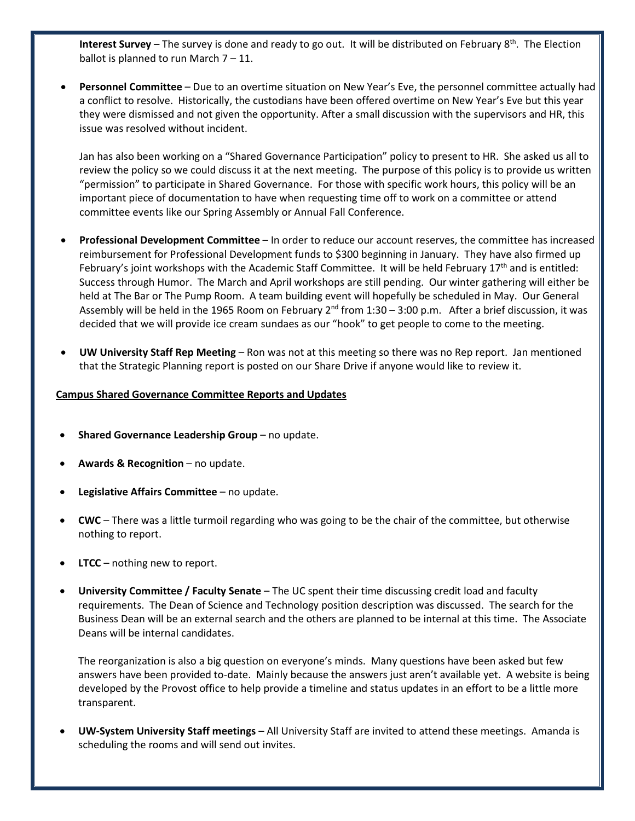**Interest Survey** – The survey is done and ready to go out. It will be distributed on February 8<sup>th</sup>. The Election ballot is planned to run March 7 – 11.

• **Personnel Committee** – Due to an overtime situation on New Year's Eve, the personnel committee actually had a conflict to resolve. Historically, the custodians have been offered overtime on New Year's Eve but this year they were dismissed and not given the opportunity. After a small discussion with the supervisors and HR, this issue was resolved without incident.

Jan has also been working on a "Shared Governance Participation" policy to present to HR. She asked us all to review the policy so we could discuss it at the next meeting. The purpose of this policy is to provide us written "permission" to participate in Shared Governance. For those with specific work hours, this policy will be an important piece of documentation to have when requesting time off to work on a committee or attend committee events like our Spring Assembly or Annual Fall Conference.

- **Professional Development Committee** In order to reduce our account reserves, the committee has increased reimbursement for Professional Development funds to \$300 beginning in January. They have also firmed up February's joint workshops with the Academic Staff Committee. It will be held February 17<sup>th</sup> and is entitled: Success through Humor. The March and April workshops are still pending. Our winter gathering will either be held at The Bar or The Pump Room. A team building event will hopefully be scheduled in May. Our General Assembly will be held in the 1965 Room on February  $2^{nd}$  from 1:30 – 3:00 p.m. After a brief discussion, it was decided that we will provide ice cream sundaes as our "hook" to get people to come to the meeting.
- **UW University Staff Rep Meeting** Ron was not at this meeting so there was no Rep report. Jan mentioned that the Strategic Planning report is posted on our Share Drive if anyone would like to review it.

#### **Campus Shared Governance Committee Reports and Updates**

- **Shared Governance Leadership Group**  no update.
- Awards & Recognition no update.
- **Legislative Affairs Committee** no update.
- **CWC**  There was a little turmoil regarding who was going to be the chair of the committee, but otherwise nothing to report.
- **LTCC** nothing new to report.
- **University Committee / Faculty Senate**  The UC spent their time discussing credit load and faculty requirements. The Dean of Science and Technology position description was discussed. The search for the Business Dean will be an external search and the others are planned to be internal at this time. The Associate Deans will be internal candidates.

The reorganization is also a big question on everyone's minds. Many questions have been asked but few answers have been provided to-date. Mainly because the answers just aren't available yet. A website is being developed by the Provost office to help provide a timeline and status updates in an effort to be a little more transparent.

• **UW-System University Staff meetings** – All University Staff are invited to attend these meetings. Amanda is scheduling the rooms and will send out invites.